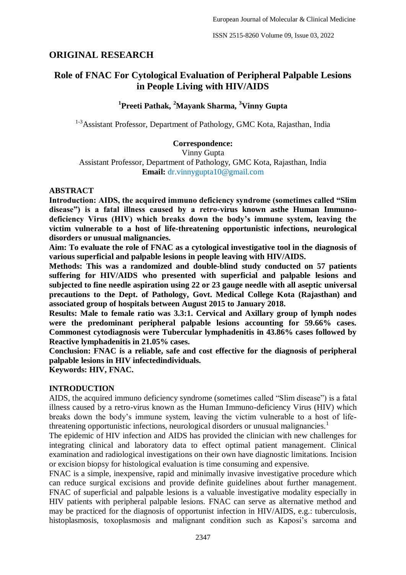# **ORIGINAL RESEARCH**

# **Role of FNAC For Cytological Evaluation of Peripheral Palpable Lesions in People Living with HIV/AIDS**

# **1 Preeti Pathak, <sup>2</sup>Mayank Sharma, <sup>3</sup>Vinny Gupta**

<sup>1-3</sup>Assistant Professor, Department of Pathology, GMC Kota, Rajasthan, India

# **Correspondence:**

Vinny Gupta

Assistant Professor, Department of Pathology, GMC Kota, Rajasthan, India **Email:** dr.vinnygupta10@gmail.com

### **ABSTRACT**

**Introduction: AIDS, the acquired immuno deficiency syndrome (sometimes called "Slim disease") is a fatal illness caused by a retro-virus known asthe Human Immunodeficiency Virus (HIV) which breaks down the body's immune system, leaving the victim vulnerable to a host of life-threatening opportunistic infections, neurological disorders or unusual malignancies.** 

**Aim: To evaluate the role of FNAC as a cytological investigative tool in the diagnosis of various superficial and palpable lesions in people leaving with HIV/AIDS.** 

**Methods: This was a randomized and double-blind study conducted on 57 patients suffering for HIV/AIDS who presented with superficial and palpable lesions and subjected to fine needle aspiration using 22 or 23 gauge needle with all aseptic universal precautions to the Dept. of Pathology, Govt. Medical College Kota (Rajasthan) and associated group of hospitals between August 2015 to January 2018.**

**Results: Male to female ratio was 3.3:1. Cervical and Axillary group of lymph nodes were the predominant peripheral palpable lesions accounting for 59.66% cases. Commonest cytodiagnosis were Tubercular lymphadenitis in 43.86% cases followed by Reactive lymphadenitis in 21.05% cases.** 

**Conclusion: FNAC is a reliable, safe and cost effective for the diagnosis of peripheral palpable lesions in HIV infectedindividuals.**

**Keywords: HIV, FNAC.**

#### **INTRODUCTION**

AIDS, the acquired immuno deficiency syndrome (sometimes called "Slim disease") is a fatal illness caused by a retro-virus known as the Human Immuno-deficiency Virus (HIV) which breaks down the body"s immune system, leaving the victim vulnerable to a host of lifethreatening opportunistic infections, neurological disorders or unusual malignancies.<sup>1</sup>

The epidemic of HIV infection and AIDS has provided the clinician with new challenges for integrating clinical and laboratory data to effect optimal patient management. Clinical examination and radiological investigations on their own have diagnostic limitations. Incision or excision biopsy for histological evaluation is time consuming and expensive.

FNAC is a simple, inexpensive, rapid and minimally invasive investigative procedure which can reduce surgical excisions and provide definite guidelines about further management. FNAC of superficial and palpable lesions is a valuable investigative modality especially in HIV patients with peripheral palpable lesions. FNAC can serve as alternative method and may be practiced for the diagnosis of opportunist infection in HIV/AIDS, e.g.: tuberculosis, histoplasmosis, toxoplasmosis and malignant condition such as Kaposi's sarcoma and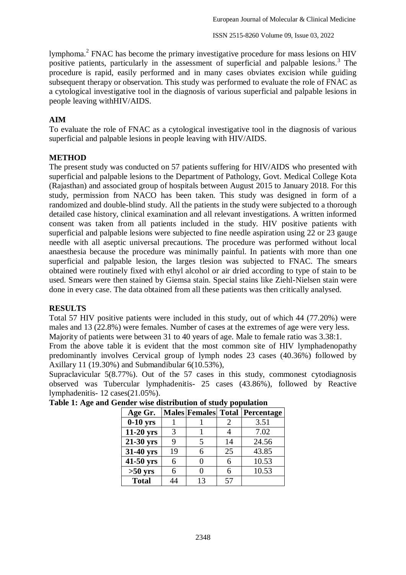lymphoma.<sup>2</sup> FNAC has become the primary investigative procedure for mass lesions on HIV positive patients, particularly in the assessment of superficial and palpable lesions.<sup>3</sup> The procedure is rapid, easily performed and in many cases obviates excision while guiding subsequent therapy or observation. This study was performed to evaluate the role of FNAC as a cytological investigative tool in the diagnosis of various superficial and palpable lesions in people leaving withHIV/AIDS.

# **AIM**

To evaluate the role of FNAC as a cytological investigative tool in the diagnosis of various superficial and palpable lesions in people leaving with HIV/AIDS.

## **METHOD**

The present study was conducted on 57 patients suffering for HIV/AIDS who presented with superficial and palpable lesions to the Department of Pathology, Govt. Medical College Kota (Rajasthan) and associated group of hospitals between August 2015 to January 2018. For this study, permission from NACO has been taken. This study was designed in form of a randomized and double-blind study. All the patients in the study were subjected to a thorough detailed case history, clinical examination and all relevant investigations. A written informed consent was taken from all patients included in the study. HIV positive patients with superficial and palpable lesions were subjected to fine needle aspiration using 22 or 23 gauge needle with all aseptic universal precautions. The procedure was performed without local anaesthesia because the procedure was minimally painful. In patients with more than one superficial and palpable lesion, the larges tlesion was subjected to FNAC. The smears obtained were routinely fixed with ethyl alcohol or air dried according to type of stain to be used. Smears were then stained by Giemsa stain. Special stains like Ziehl-Nielsen stain were done in every case. The data obtained from all these patients was then critically analysed.

## **RESULTS**

Total 57 HIV positive patients were included in this study, out of which 44 (77.20%) were males and 13 (22.8%) were females. Number of cases at the extremes of age were very less.

Majority of patients were between 31 to 40 years of age. Male to female ratio was 3.38:1.

From the above table it is evident that the most common site of HIV lymphadenopathy predominantly involves Cervical group of lymph nodes 23 cases (40.36%) followed by Axillary 11 (19.30%) and Submandibular 6(10.53%),

Supraclavicular 5(8.77%). Out of the 57 cases in this study, commonest cytodiagnosis observed was Tubercular lymphadenitis- 25 cases (43.86%), followed by Reactive lymphadenitis- 12 cases(21.05%).

| Age Gr.      |    |    |    | <b>Males Females Total Percentage</b> |
|--------------|----|----|----|---------------------------------------|
| $0-10$ yrs   |    |    |    | 3.51                                  |
| $11-20$ yrs  | 3  |    |    | 7.02                                  |
| 21-30 yrs    | 9  |    | 14 | 24.56                                 |
| 31-40 yrs    | 19 |    | 25 | 43.85                                 |
| 41-50 yrs    | 6  |    |    | 10.53                                 |
| $>50$ yrs    | 6  |    |    | 10.53                                 |
| <b>Total</b> | 14 | 13 | 57 |                                       |

| Table 1: Age and Gender wise distribution of study population |  |  |  |
|---------------------------------------------------------------|--|--|--|
|                                                               |  |  |  |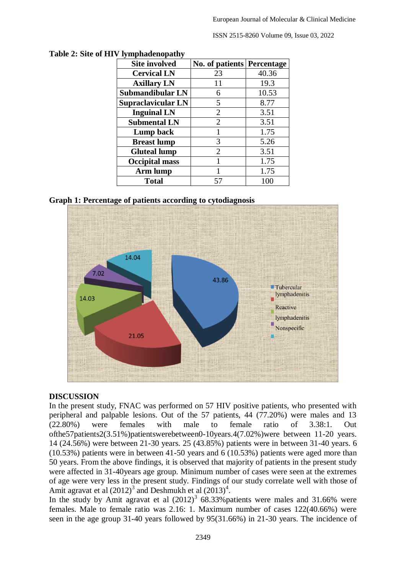ISSN 2515-8260 Volume 09, Issue 03, 2022

| тушринны райну<br><b>Site involved</b> | No. of patients Percentage |       |  |
|----------------------------------------|----------------------------|-------|--|
| <b>Cervical LN</b>                     | 23                         | 40.36 |  |
| <b>Axillary LN</b>                     | 11                         | 19.3  |  |
| Submandibular LN                       | 6                          | 10.53 |  |
| Supraclavicular LN                     | 5                          | 8.77  |  |
| <b>Inguinal LN</b>                     | $\overline{2}$             | 3.51  |  |
| <b>Submental LN</b>                    | $\overline{2}$             | 3.51  |  |
| Lump back                              | $\mathbf{1}$               | 1.75  |  |
| <b>Breast lump</b>                     | 3                          | 5.26  |  |
| <b>Gluteal lump</b>                    | $\overline{2}$             | 3.51  |  |
| <b>Occipital mass</b>                  |                            | 1.75  |  |
| Arm lump                               |                            | 1.75  |  |
| <b>Total</b>                           | 57                         | 100   |  |

**Table 2: Site of HIV lymphadenopathy**

**Graph 1: Percentage of patients according to cytodiagnosis**



#### **DISCUSSION**

In the present study, FNAC was performed on 57 HIV positive patients, who presented with peripheral and palpable lesions. Out of the 57 patients, 44 (77.20%) were males and 13 (22.80%) were females with male to female ratio of 3.38:1. Out ofthe57patients2(3.51%)patientswerebetween0-10years.4(7.02%)were between 11-20 years. 14 (24.56%) were between 21-30 years. 25 (43.85%) patients were in between 31-40 years. 6 (10.53%) patients were in between 41-50 years and 6 (10.53%) patients were aged more than 50 years. From the above findings, it is observed that majority of patients in the present study were affected in 31-40years age group. Minimum number of cases were seen at the extremes of age were very less in the present study. Findings of our study correlate well with those of Amit agravat et al  $(2012)^3$  and Deshmukh et al  $(2013)^4$ .

In the study by Amit agravat et al  $(2012)^3$  68.33% patients were males and 31.66% were females. Male to female ratio was 2.16: 1. Maximum number of cases 122(40.66%) were seen in the age group 31-40 years followed by 95(31.66%) in 21-30 years. The incidence of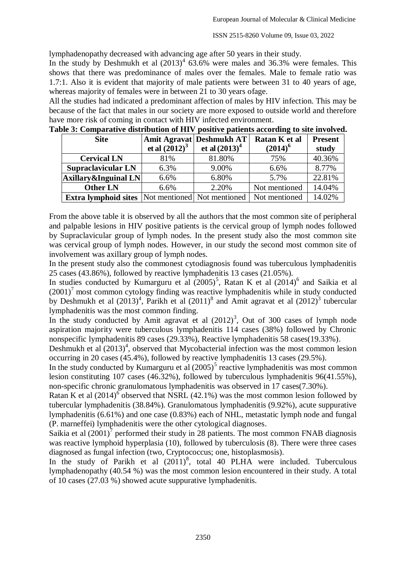lymphadenopathy decreased with advancing age after 50 years in their study.

In the study by Deshmukh et al  $(2013)^4$  63.6% were males and 36.3% were females. This shows that there was predominance of males over the females. Male to female ratio was 1.7:1. Also it is evident that majority of male patients were between 31 to 40 years of age, whereas majority of females were in between 21 to 30 years ofage.

All the studies had indicated a predominant affection of males by HIV infection. This may be because of the fact that males in our society are more exposed to outside world and therefore have more risk of coming in contact with HIV infected environment.

| <b>Site</b>                                                | et al $(2012)^3$ | Amit Agravat Deshmukh AT<br>et al $(2013)^4$ | Ratan K et al<br>$(2014)^6$ | <b>Present</b><br>study |  |
|------------------------------------------------------------|------------------|----------------------------------------------|-----------------------------|-------------------------|--|
| <b>Cervical LN</b>                                         | 81%              | 81.80%                                       | 75%                         | 40.36%                  |  |
| <b>Supraclavicular LN</b>                                  | 6.3%             | 9.00%                                        | 6.6%                        | 8.77%                   |  |
| $\vert$ Axillary&Inguinal LN $\vert$                       | 6.6%             | 6.80%                                        | 5.7%                        | 22.81%                  |  |
| <b>Other LN</b>                                            | 6.6%             | 2.20%                                        | Not mentioned               | 14.04%                  |  |
| <b>Extra lymphoid sites</b>  Not mentioned   Not mentioned |                  |                                              | Not mentioned               | 14.02%                  |  |

**Table 3: Comparative distribution of HIV positive patients according to site involved.**

From the above table it is observed by all the authors that the most common site of peripheral and palpable lesions in HIV positive patients is the cervical group of lymph nodes followed by Supraclavicular group of lymph nodes. In the present study also the most common site was cervical group of lymph nodes. However, in our study the second most common site of involvement was axillary group of lymph nodes.

In the present study also the commonest cytodiagnosis found was tuberculous lymphadenitis 25 cases (43.86%), followed by reactive lymphadenitis 13 cases (21.05%).

In studies conducted by Kumarguru et al  $(2005)^5$ , Ratan K et al  $(2014)^6$  and Saikia et al  $(2001)^7$  most common cytology finding was reactive lymphadenitis while in study conducted by Deshmukh et al  $(2013)^4$ , Parikh et al  $(2011)^8$  and Amit agravat et al  $(2012)^3$  tubercular lymphadenitis was the most common finding.

In the study conducted by Amit agravat et al  $(2012)^3$ , Out of 300 cases of lymph node aspiration majority were tuberculous lymphadenitis 114 cases (38%) followed by Chronic nonspecific lymphadenitis 89 cases (29.33%), Reactive lymphadenitis 58 cases(19.33%).

Deshmukh et al  $(2013)^4$ , observed that Mycobacterial infection was the most common lesion occurring in 20 cases (45.4%), followed by reactive lymphadenitis 13 cases (29.5%).

In the study conducted by Kumarguru et al  $(2005)^5$  reactive lymphadenitis was most common lesion constituting 107 cases (46.32%), followed by tuberculous lymphadenitis 96(41.55%), non-specific chronic granulomatous lymphadenitis was observed in 17 cases(7.30%).

Ratan K et al  $(2014)^{6}$  observed that NSRL (42.1%) was the most common lesion followed by tubercular lymphadenitis (38.84%). Granulomatous lymphadenitis (9.92%), acute suppurative lymphadenitis (6.61%) and one case (0.83%) each of NHL, metastatic lymph node and fungal (P. marneffei) lymphadenitis were the other cytological diagnoses.

Saikia et al  $(2001)^7$  performed their study in 28 patients. The most common FNAB diagnosis was reactive lymphoid hyperplasia (10), followed by tuberculosis (8). There were three cases diagnosed as fungal infection (two, Cryptococcus; one, histoplasmosis).

In the study of Parikh et al  $(2011)^8$ , total 40 PLHA were included. Tuberculous lymphadenopathy (40.54 %) was the most common lesion encountered in their study. A total of 10 cases (27.03 %) showed acute suppurative lymphadenitis.